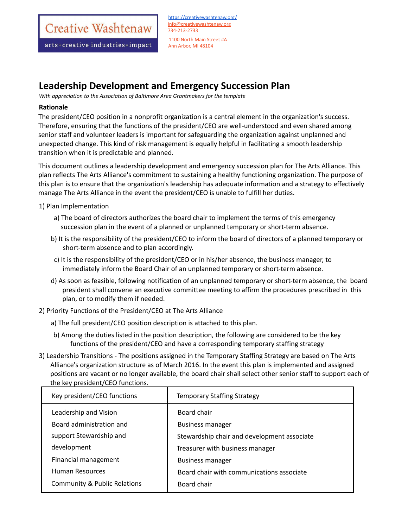Creative Washtenaw

arts+creative industries=impact

<https://creativewashtenaw.org/> info@creativewashtenaw.org 734-213-2733 1100 North Main Street #A Ann Arbor, MI 48104

## **Leadership Development and Emergency Succession Plan**

*With appreciation to the Association of Baltimore Area Grantmakers for the template*

## **Rationale**

The president/CEO position in a nonprofit organization is a central element in the organization's success. Therefore, ensuring that the functions of the president/CEO are well-understood and even shared among senior staff and volunteer leaders is important for safeguarding the organization against unplanned and unexpected change. This kind of risk management is equally helpful in facilitating a smooth leadership transition when it is predictable and planned.

This document outlines a leadership development and emergency succession plan for The Arts Alliance. This plan reflects The Arts Alliance's commitment to sustaining a healthy functioning organization. The purpose of this plan is to ensure that the organization's leadership has adequate information and a strategy to effectively manage The Arts Alliance in the event the president/CEO is unable to fulfill her duties.

1) Plan Implementation

- a) The board of directors authorizes the board chair to implement the terms of this emergency succession plan in the event of a planned or unplanned temporary or short-term absence.
- b) It is the responsibility of the president/CEO to inform the board of directors of a planned temporary or short-term absence and to plan accordingly.
- c) It is the responsibility of the president/CEO or in his/her absence, the business manager, to immediately inform the Board Chair of an unplanned temporary or short-term absence.
- d) As soon as feasible, following notification of an unplanned temporary or short-term absence, the board president shall convene an executive committee meeting to affirm the procedures prescribed in this plan, or to modify them if needed.
- 2) Priority Functions of the President/CEO at The Arts Alliance
	- a) The full president/CEO position description is attached to this plan.
	- b) Among the duties listed in the position description, the following are considered to be the key functions of the president/CEO and have a corresponding temporary staffing strategy
- 3) Leadership Transitions The positions assigned in the Temporary Staffing Strategy are based on The Arts Alliance's organization structure as of March 2016. In the event this plan is implemented and assigned positions are vacant or no longer available, the board chair shall select other senior staff to support each of the key president/CEO functions.

| Key president/CEO functions  | <b>Temporary Staffing Strategy</b>          |
|------------------------------|---------------------------------------------|
| Leadership and Vision        | Board chair                                 |
| Board administration and     | <b>Business manager</b>                     |
| support Stewardship and      | Stewardship chair and development associate |
| development                  | Treasurer with business manager             |
| Financial management         | <b>Business manager</b>                     |
| Human Resources              | Board chair with communications associate   |
| Community & Public Relations | Board chair                                 |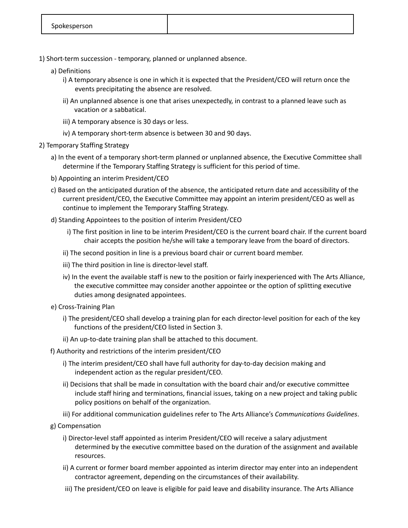- 1) Short-term succession temporary, planned or unplanned absence.
	- a) Definitions
		- i) A temporary absence is one in which it is expected that the President/CEO will return once the events precipitating the absence are resolved.
		- ii) An unplanned absence is one that arises unexpectedly, in contrast to a planned leave such as vacation or a sabbatical.
		- iii) A temporary absence is 30 days or less.
		- iv) A temporary short-term absence is between 30 and 90 days.
- 2) Temporary Staffing Strategy
	- a) In the event of a temporary short-term planned or unplanned absence, the Executive Committee shall determine if the Temporary Staffing Strategy is sufficient for this period of time.
	- b) Appointing an interim President/CEO
	- c) Based on the anticipated duration of the absence, the anticipated return date and accessibility of the current president/CEO, the Executive Committee may appoint an interim president/CEO as well as continue to implement the Temporary Staffing Strategy.
	- d) Standing Appointees to the position of interim President/CEO
		- i) The first position in line to be interim President/CEO is the current board chair. If the current board chair accepts the position he/she will take a temporary leave from the board of directors.
		- ii) The second position in line is a previous board chair or current board member.
		- iii) The third position in line is director-level staff.
		- iv) In the event the available staff is new to the position or fairly inexperienced with The Arts Alliance, the executive committee may consider another appointee or the option of splitting executive duties among designated appointees.
	- e) Cross-Training Plan
		- i) The president/CEO shall develop a training plan for each director-level position for each of the key functions of the president/CEO listed in Section 3.
		- ii) An up-to-date training plan shall be attached to this document.
	- f) Authority and restrictions of the interim president/CEO
		- i) The interim president/CEO shall have full authority for day-to-day decision making and independent action as the regular president/CEO.
		- ii) Decisions that shall be made in consultation with the board chair and/or executive committee include staff hiring and terminations, financial issues, taking on a new project and taking public policy positions on behalf of the organization.
		- iii) For additional communication guidelines refer to The Arts Alliance's *Communications Guidelines*.
	- g) Compensation
		- i) Director-level staff appointed as interim President/CEO will receive a salary adjustment determined by the executive committee based on the duration of the assignment and available resources.
		- ii) A current or former board member appointed as interim director may enter into an independent contractor agreement, depending on the circumstances of their availability.
		- iii) The president/CEO on leave is eligible for paid leave and disability insurance. The Arts Alliance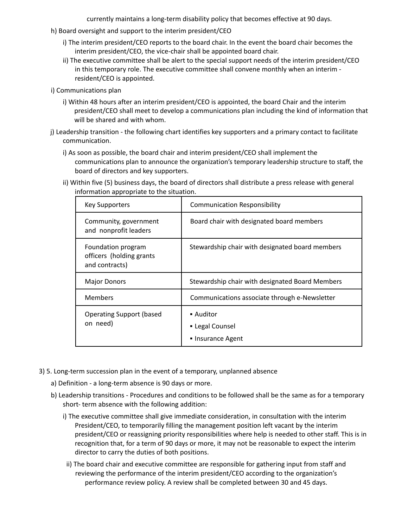currently maintains a long-term disability policy that becomes effective at 90 days.

- h) Board oversight and support to the interim president/CEO
	- i) The interim president/CEO reports to the board chair. In the event the board chair becomes the interim president/CEO, the vice-chair shall be appointed board chair.
	- ii) The executive committee shall be alert to the special support needs of the interim president/CEO in this temporary role. The executive committee shall convene monthly when an interim resident/CEO is appointed.
- i) Communications plan
	- i) Within 48 hours after an interim president/CEO is appointed, the board Chair and the interim president/CEO shall meet to develop a communications plan including the kind of information that will be shared and with whom.
- j) Leadership transition the following chart identifies key supporters and a primary contact to facilitate communication.
	- i) As soon as possible, the board chair and interim president/CEO shall implement the communications plan to announce the organization's temporary leadership structure to staff, the board of directors and key supporters.
	- ii) Within five (5) business days, the board of directors shall distribute a press release with general information appropriate to the situation.

| Key Supporters                                                   | <b>Communication Responsibility</b>               |
|------------------------------------------------------------------|---------------------------------------------------|
| Community, government<br>and nonprofit leaders                   | Board chair with designated board members         |
| Foundation program<br>officers (holding grants<br>and contracts) | Stewardship chair with designated board members   |
| <b>Major Donors</b>                                              | Stewardship chair with designated Board Members   |
| <b>Members</b>                                                   | Communications associate through e-Newsletter     |
| <b>Operating Support (based)</b><br>on need)                     | ■ Auditor<br>• Legal Counsel<br>• Insurance Agent |

- 3) 5. Long-term succession plan in the event of a temporary, unplanned absence
	- a) Definition a long-term absence is 90 days or more.
	- b) Leadership transitions Procedures and conditions to be followed shall be the same as for a temporary short- term absence with the following addition:
		- i) The executive committee shall give immediate consideration, in consultation with the interim President/CEO, to temporarily filling the management position left vacant by the interim president/CEO or reassigning priority responsibilities where help is needed to other staff. This is in recognition that, for a term of 90 days or more, it may not be reasonable to expect the interim director to carry the duties of both positions.
		- ii) The board chair and executive committee are responsible for gathering input from staff and reviewing the performance of the interim president/CEO according to the organization's performance review policy. A review shall be completed between 30 and 45 days.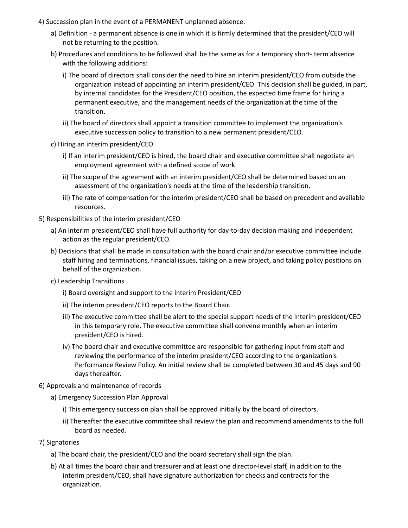- 4) Succession plan in the event of a PERMANENT unplanned absence.
	- a) Definition a permanent absence is one in which it is firmly determined that the president/CEO will not be returning to the position.
	- b) Procedures and conditions to be followed shall be the same as for a temporary short- term absence with the following additions:
		- i) The board of directors shall consider the need to hire an interim president/CEO from outside the organization instead of appointing an interim president/CEO. This decision shall be guided, in part, by internal candidates for the President/CEO position, the expected time frame for hiring a permanent executive, and the management needs of the organization at the time of the transition.
		- ii) The board of directors shall appoint a transition committee to implement the organization's executive succession policy to transition to a new permanent president/CEO.
	- c) Hiring an interim president/CEO
		- i) If an interim president/CEO is hired, the board chair and executive committee shall negotiate an employment agreement with a defined scope of work.
		- ii) The scope of the agreement with an interim president/CEO shall be determined based on an assessment of the organization's needs at the time of the leadership transition.
		- iii) The rate of compensation for the interim president/CEO shall be based on precedent and available resources.
- 5) Responsibilities of the interim president/CEO
	- a) An interim president/CEO shall have full authority for day-to-day decision making and independent action as the regular president/CEO.
	- b) Decisions that shall be made in consultation with the board chair and/or executive committee include staff hiring and terminations, financial issues, taking on a new project, and taking policy positions on behalf of the organization.
	- c) Leadership Transitions
		- i) Board oversight and support to the interim President/CEO
		- ii) The interim president/CEO reports to the Board Chair.
		- iii) The executive committee shall be alert to the special support needs of the interim president/CEO in this temporary role. The executive committee shall convene monthly when an interim president/CEO is hired.
		- iv) The board chair and executive committee are responsible for gathering input from staff and reviewing the performance of the interim president/CEO according to the organization's Performance Review Policy. An initial review shall be completed between 30 and 45 days and 90 days thereafter.
- 6) Approvals and maintenance of records
	- a) Emergency Succession Plan Approval
		- i) This emergency succession plan shall be approved initially by the board of directors.
		- ii) Thereafter the executive committee shall review the plan and recommend amendments to the full board as needed.
- 7) Signatories
	- a) The board chair, the president/CEO and the board secretary shall sign the plan.
	- b) At all times the board chair and treasurer and at least one director-level staff, in addition to the interim president/CEO, shall have signature authorization for checks and contracts for the organization.